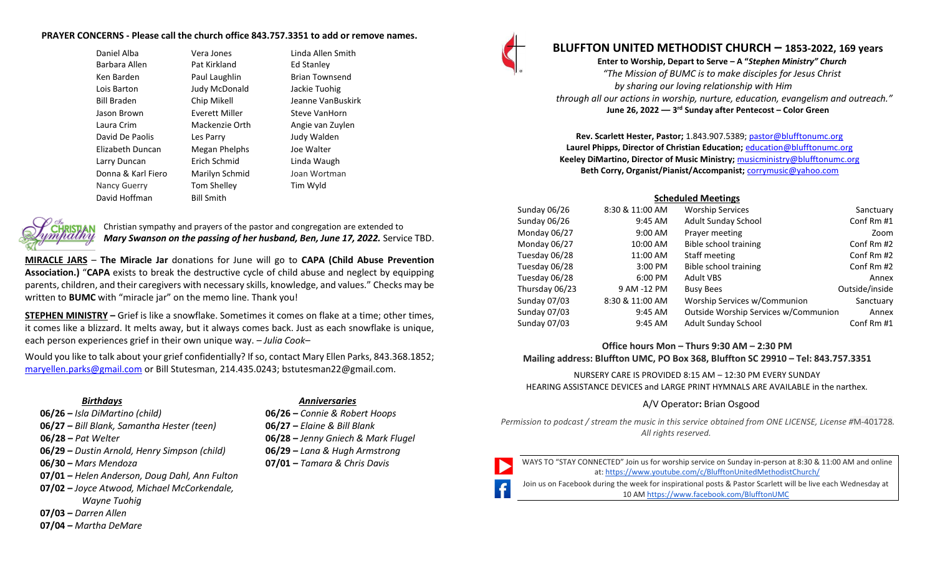#### **PRAYER CONCERNS - Please call the church office 843.757.3351 to add or remove names.**

| Daniel Alba        | Vera Jones           | Linda Allen Smith     |
|--------------------|----------------------|-----------------------|
| Barbara Allen      | Pat Kirkland         | Ed Stanley            |
| Ken Barden         | Paul Laughlin        | <b>Brian Townsend</b> |
| Lois Barton        | <b>Judy McDonald</b> | Jackie Tuohig         |
| Bill Braden        | Chip Mikell          | Jeanne VanBuskirk     |
| Jason Brown        | Everett Miller       | Steve VanHorn         |
| Laura Crim         | Mackenzie Orth       | Angie van Zuylen      |
| David De Paolis    | Les Parry            | Judy Walden           |
| Elizabeth Duncan   | Megan Phelphs        | Joe Walter            |
| Larry Duncan       | Erich Schmid         | Linda Waugh           |
| Donna & Karl Fiero | Marilyn Schmid       | Joan Wortman          |
| Nancy Guerry       | <b>Tom Shelley</b>   | Tim Wyld              |
| David Hoffman      | <b>Bill Smith</b>    |                       |
|                    |                      |                       |



Christian sympathy and prayers of the pastor and congregation are extended to *Mary Swanson on the passing of her husband, Ben, June 17, 2022.* Service TBD.

**MIRACLE JARS** – **The Miracle Jar** donations for June will go to **CAPA (Child Abuse Prevention Association.)** "**CAPA** exists to break the destructive cycle of child abuse and neglect by equipping parents, children, and their caregivers with necessary skills, knowledge, and values." Checks may be written to **BUMC** with "miracle jar" on the memo line. Thank you!

**STEPHEN MINISTRY –** Grief is like a snowflake. Sometimes it comes on flake at a time; other times, it comes like a blizzard. It melts away, but it always comes back. Just as each snowflake is unique, each person experiences grief in their own unique way. *– Julia Cook–*

Would you like to talk about your grief confidentially? If so, contact Mary Ellen Parks, 843.368.1852; [maryellen.parks@gmail.com](mailto:maryellen.parks@gmail.com) or Bill Stutesman, 214.435.0243; bstutesman22@gmail.com.

- **06/26 –** *Isla DiMartino (child)* **06/26 –** *Connie & Robert Hoops*
- **06/27 –** *Bill Blank, Samantha Hester (teen)* **06/27 –** *Elaine & Bill Blank*
- 
- **06/29 –** *Dustin Arnold, Henry Simpson (child)* **06/29 –** *Lana & Hugh Armstrong*
- 
- **07/01 –** *Helen Anderson, Doug Dahl, Ann Fulton*
- **07/02 –** *Joyce Atwood, Michael McCorkendale, Wayne Tuohig*
- **07/03 –** *Darren Allen*
- **07/04 –** *Martha DeMare*

#### *Birthdays Anniversaries*

- 
- 
- **06/28 –** *Pat Welter* **06/28 –** *Jenny Gniech & Mark Flugel*
	-
- **06/30 –** *Mars Mendoza* **07/01 –** *Tamara & Chris Davis*



# **BLUFFTON UNITED METHODIST CHURCH – 1853-2022, 169 years**

**Enter to Worship, Depart to Serve – A "***Stephen Ministry" Church "The Mission of BUMC is to make disciples for Jesus Christ by sharing our loving relationship with Him through all our actions in worship, nurture, education, evangelism and outreach."* **June 26, 2022 –– 3 rd Sunday after Pentecost – Color Green**

**Rev. Scarlett Hester, Pastor;** 1.843.907.5389[; pastor@blufftonumc.org](mailto:pastor@blufftonumc.org) **Laurel Phipps, Director of Christian Education;** [education@blufftonumc.org](mailto:education@blufftonumc.org) **Keeley DiMartino, Director of Music Ministry;** [musicministry@blufftonumc.org](mailto:musicministry@blufftonumc.org) **Beth Corry, Organist/Pianist/Accompanist;** [corrymusic@yahoo.com](mailto:corrymusic@yahoo.com)

#### **Scheduled Meetings**

| Sunday 06/26   | 8:30 & 11:00 AM | <b>Worship Services</b>              | Sanctuary      |
|----------------|-----------------|--------------------------------------|----------------|
| Sunday 06/26   | 9:45 AM         | Adult Sunday School                  | Conf Rm #1     |
| Monday 06/27   | 9:00 AM         | Prayer meeting                       | Zoom           |
| Monday 06/27   | 10:00 AM        | Bible school training                | Conf Rm #2     |
| Tuesday 06/28  | 11:00 AM        | Staff meeting                        | Conf Rm #2     |
| Tuesday 06/28  | 3:00 PM         | Bible school training                | Conf Rm #2     |
| Tuesday 06/28  | 6:00 PM         | <b>Adult VBS</b>                     | Annex          |
| Thursday 06/23 | 9 AM -12 PM     | <b>Busy Bees</b>                     | Outside/inside |
| Sunday 07/03   | 8:30 & 11:00 AM | Worship Services w/Communion         | Sanctuary      |
| Sunday 07/03   | 9:45 AM         | Outside Worship Services w/Communion | Annex          |
| Sunday 07/03   | 9:45 AM         | <b>Adult Sunday School</b>           | Conf Rm #1     |

# **Office hours Mon – Thurs 9:30 AM – 2:30 PM Mailing address: Bluffton UMC, PO Box 368, Bluffton SC 29910 – Tel: 843.757.3351**

NURSERY CARE IS PROVIDED 8:15 AM – 12:30 PM EVERY SUNDAY HEARING ASSISTANCE DEVICES and LARGE PRINT HYMNALS ARE AVAILABLE in the narthex.

# A/V Operator**:** Brian Osgood

*Permission to podcast / stream the music in this service obtained from ONE LICENSE, License #*M-401728*. All rights reserved.*

WAYS TO "STAY CONNECTED" Join us for worship service on Sunday in-person at 8:30 & 11:00 AM and online at[: https://www.youtube.com/c/BlufftonUnitedMethodistChurch/](https://www.youtube.com/c/BlufftonUnitedMethodistChurch/)

Join us on Facebook during the week for inspirational posts & Pastor Scarlett will be live each Wednesday at 10 A[M https://www.facebook.com/BlufftonUMC](https://www.facebook.com/BlufftonUMC)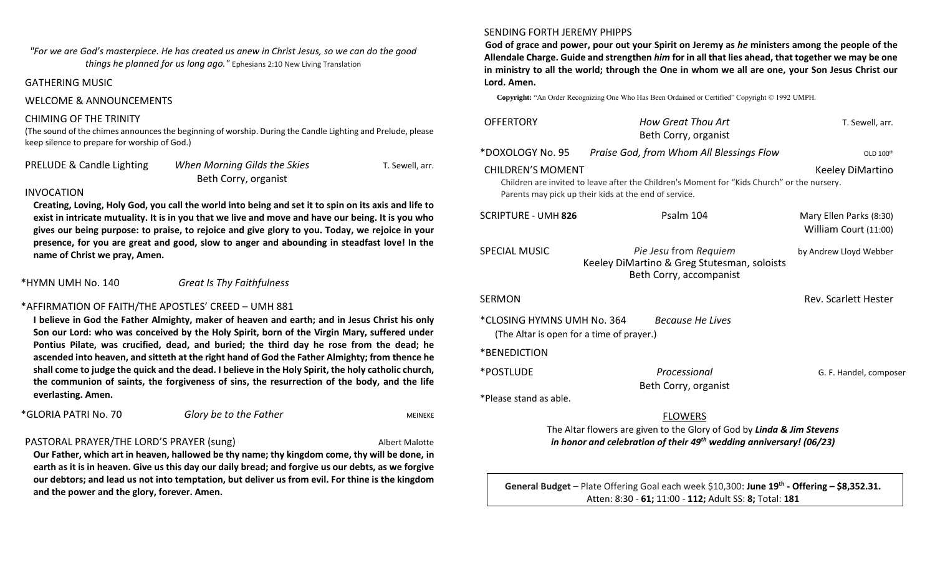# *"For we are God's masterpiece. He has created us anew in Christ Jesus, so we can do the good things he planned for us long ago."* Ephesians 2:10 New Living Translation

# GATHERING MUSIC

#### WELCOME & ANNOUNCEMENTS

### CHIMING OF THE TRINITY

(The sound of the chimes announces the beginning of worship. During the Candle Lighting and Prelude, please keep silence to prepare for worship of God.)

| PRELUDE & Candle Lighting | When Morning Gilds the Skies | T. Sewell, arr. |
|---------------------------|------------------------------|-----------------|
|                           | Beth Corry, organist         |                 |

### INVOCATION

**Creating, Loving, Holy God, you call the world into being and set it to spin on its axis and life to exist in intricate mutuality. It is in you that we live and move and have our being. It is you who gives our being purpose: to praise, to rejoice and give glory to you. Today, we rejoice in your presence, for you are great and good, slow to anger and abounding in steadfast love! In the name of Christ we pray, Amen.**

\*HYMN UMH No. 140 *Great Is Thy Faithfulness*

# \*AFFIRMATION OF FAITH/THE APOSTLES' CREED – UMH 881

**I believe in God the Father Almighty, maker of heaven and earth; and in Jesus Christ his only Son our Lord: who was conceived by the Holy Spirit, born of the Virgin Mary, suffered under Pontius Pilate, was crucified, dead, and buried; the third day he rose from the dead; he ascended into heaven, and sitteth at the right hand of God the Father Almighty; from thence he shall come to judge the quick and the dead. I believe in the Holy Spirit, the holy catholic church, the communion of saints, the forgiveness of sins, the resurrection of the body, and the life everlasting. Amen.** 

| *GLORIA PATRI No. 70 | Glory be to the Father<br>MEINEKE |
|----------------------|-----------------------------------|
|----------------------|-----------------------------------|

# PASTORAL PRAYER/THE LORD'S PRAYER (sung) albert Malotte

**Our Father, which art in heaven, hallowed be thy name; thy kingdom come, thy will be done, in earth as it is in heaven. Give us this day our daily bread; and forgive us our debts, as we forgive our debtors; and lead us not into temptation, but deliver us from evil. For thine is the kingdom and the power and the glory, forever. Amen.**

### SENDING FORTH JEREMY PHIPPS

**God of grace and power, pour out your Spirit on Jeremy as** *he* **ministers among the people of the Allendale Charge. Guide and strengthen** *him* **for in all that lies ahead, that together we may be one in ministry to all the world; through the One in whom we all are one, your Son Jesus Christ our Lord. Amen.**

**Copyright:** "An Order Recognizing One Who Has Been Ordained or Certified" Copyright © 1992 UMPH.

| <b>OFFERTORY</b>                                                                                                                                                                                     | How Great Thou Art<br>Beth Corry, organist                                                      | T. Sewell, arr.                                  |  |  |
|------------------------------------------------------------------------------------------------------------------------------------------------------------------------------------------------------|-------------------------------------------------------------------------------------------------|--------------------------------------------------|--|--|
| *DOXOLOGY No. 95                                                                                                                                                                                     | Praise God, from Whom All Blessings Flow                                                        | OLD 100th                                        |  |  |
| <b>CHILDREN'S MOMENT</b><br>Keeley DiMartino<br>Children are invited to leave after the Children's Moment for "Kids Church" or the nursery.<br>Parents may pick up their kids at the end of service. |                                                                                                 |                                                  |  |  |
| <b>SCRIPTURE - UMH 826</b>                                                                                                                                                                           | Psalm 104                                                                                       | Mary Ellen Parks (8:30)<br>William Court (11:00) |  |  |
| <b>SPECIAL MUSIC</b>                                                                                                                                                                                 | Pie Jesu from Requiem<br>Keeley DiMartino & Greg Stutesman, soloists<br>Beth Corry, accompanist | by Andrew Lloyd Webber                           |  |  |
| <b>SERMON</b>                                                                                                                                                                                        |                                                                                                 | <b>Rev. Scarlett Hester</b>                      |  |  |
| *CLOSING HYMNS UMH No. 364<br>Because He Lives<br>(The Altar is open for a time of prayer.)                                                                                                          |                                                                                                 |                                                  |  |  |
| *BENEDICTION                                                                                                                                                                                         |                                                                                                 |                                                  |  |  |
| *POSTLUDE                                                                                                                                                                                            | Processional<br>Beth Corry, organist                                                            | G. F. Handel, composer                           |  |  |
| *Please stand as able.                                                                                                                                                                               |                                                                                                 |                                                  |  |  |
|                                                                                                                                                                                                      | <b>FLOWERS</b>                                                                                  |                                                  |  |  |
| The Altar flowers are given to the Glory of God by Linda & Jim Stevens<br>in honor and celebration of their $49th$ wedding anniversary! (06/23)                                                      |                                                                                                 |                                                  |  |  |

**General Budget** – Plate Offering Goal each week \$10,300: **June 19th - Offering – \$8,352.31.** Atten: 8:30 - **61;** 11:00 - **112;** Adult SS: **8;** Total: **181**